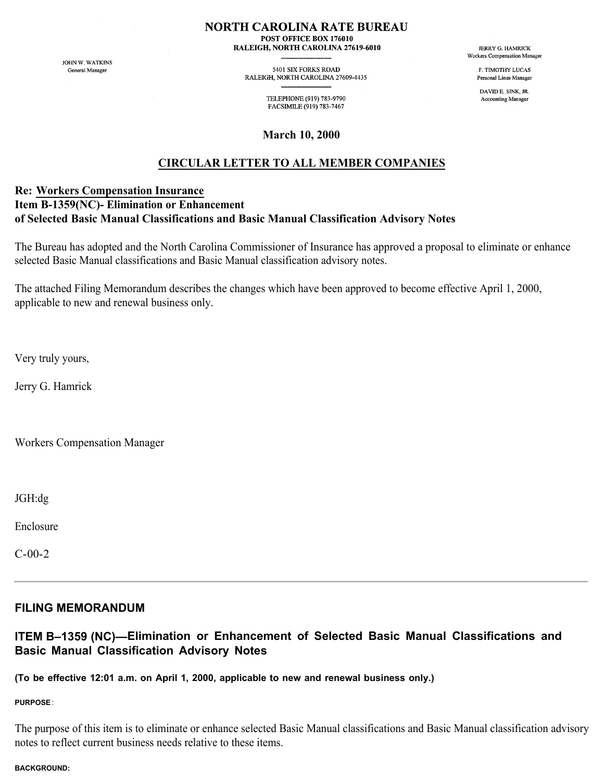### **NORTH CAROLINA RATE BUREAU**

POST OFFICE BOX 176010 RALEIGH, NORTH CAROLINA 27619-6010

JOHN W. WATKINS General Manager

5401 SIX FORKS ROAD RALEIGH, NORTH CAROLINA 27609-4435

> TELEPHONE (919) 783-9790 FACSIMILE (919) 783-7467

**March 10, 2000**

# **CIRCULAR LETTER TO ALL MEMBER COMPANIES**

## **Re: Workers Compensation Insurance Item B-1359(NC)- Elimination or Enhancement of Selected Basic Manual Classifications and Basic Manual Classification Advisory Notes**

The Bureau has adopted and the North Carolina Commissioner of Insurance has approved a proposal to eliminate or enhance selected Basic Manual classifications and Basic Manual classification advisory notes.

The attached Filing Memorandum describes the changes which have been approved to become effective April 1, 2000, applicable to new and renewal business only.

Very truly yours,

Jerry G. Hamrick

Workers Compensation Manager

JGH:dg

Enclosure

C-00-2

## **FILING MEMORANDUM**

## **ITEM B–1359 (NC)—Elimination or Enhancement of Selected Basic Manual Classifications and Basic Manual Classification Advisory Notes**

**(To be effective 12:01 a.m. on April 1, 2000, applicable to new and renewal business only.)**

**PURPOSE**:

The purpose of this item is to eliminate or enhance selected Basic Manual classifications and Basic Manual classification advisory notes to reflect current business needs relative to these items.

#### **BACKGROUND:**

**JERRY G. HAMRICK** Workers Compensation Manager

> **F TIMOTHY LUCAS** Personal Lines Manager

DAVID E. SINK. JR. Accounting Manager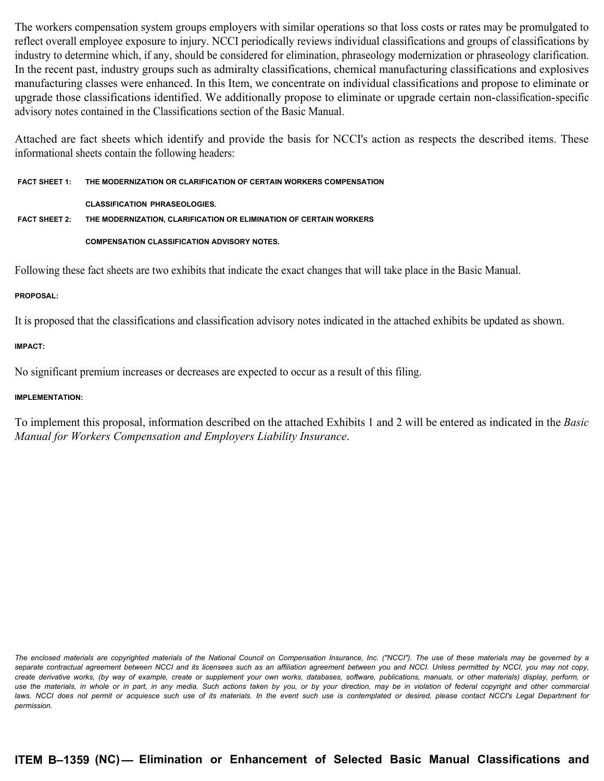The workers compensation system groups employers with similar operations so that loss costs or rates may be promulgated to reflect overall employee exposure to injury. NCCI periodically reviews individual classifications and groups of classifications by industry to determine which, if any, should be considered for elimination, phraseology modernization or phraseology clarification. In the recent past, industry groups such as admiralty classifications, chemical manufacturing classifications and explosives manufacturing classes were enhanced. In this Item, we concentrate on individual classifications and propose to eliminate or upgrade those classifications identified. We additionally propose to eliminate or upgrade certain non-classification-specific advisory notes contained in the Classifications section of the Basic Manual.

Attached are fact sheets which identify and provide the basis for NCCI's action as respects the described items. These informational sheets contain the following headers:

**FACT SHEET 1: THE MODERNIZATION OR CLARIFICATION OF CERTAIN WORKERS COMPENSATION CLASSIFICATION PHRASEOLOGIES. FACT SHEET 2: THE MODERNIZATION, CLARIFICATION OR ELIMINATION OF CERTAIN WORKERS**

**COMPENSATION CLASSIFICATION ADVISORY NOTES.**

Following these fact sheets are two exhibits that indicate the exact changes that will take place in the Basic Manual.

### **PROPOSAL:**

It is proposed that the classifications and classification advisory notes indicated in the attached exhibits be updated as shown.

### **IMPACT:**

No significant premium increases or decreases are expected to occur as a result of this filing.

### **IMPLEMENTATION:**

To implement this proposal, information described on the attached Exhibits 1 and 2 will be entered as indicated in the *Basic Manual for Workers Compensation and Employers Liability Insurance*.

The enclosed materials are copyrighted materials of the National Council on Compensation Insurance, Inc. ("NCCI"). The use of these materials may be governed by a separate contractual agreement between NCCI and its licensees such as an affiliation agreement between you and NCCI. Unless permitted by NCCI, you may not copy, *create derivative works, (by way of example, create or supplement your own works, databases, software, publications, manuals, or other materials) display, perform, or*  use the materials, in whole or in part, in any media. Such actions taken by you, or by your direction, may be in violation of federal copyright and other commercial laws. NCCI does not permit or acquiesce such use of its materials. In the event such use is contemplated or desired, please contact NCCI's Legal Department for *permission.*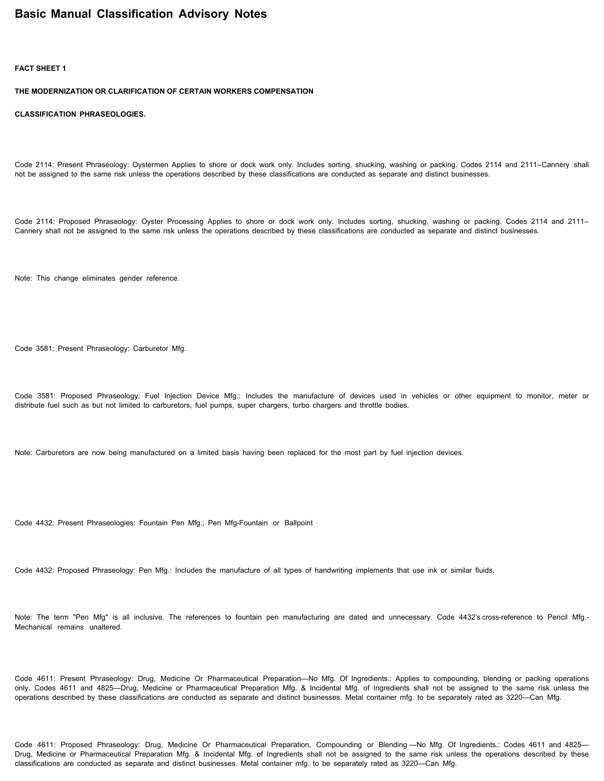### **Basic Manual Classification Advisory Notes**

#### **FACT SHEET 1**

**THE MODERNIZATION OR CLARIFICATION OF CERTAIN WORKERS COMPENSATION**

**CLASSIFICATION PHRASEOLOGIES.**

Code 2114: Present Phraseology: Oystermen Applies to shore or dock work only. Includes sorting, shucking, washing or packing. Codes 2114 and 2111–Cannery shall not be assigned to the same risk unless the operations described by these classifications are conducted as separate and distinct businesses.

Code 2114: Proposed Phraseology: Oyster Processing Applies to shore or dock work only. Includes sorting, shucking, washing or packing. Codes 2114 and 2111– Cannery shall not be assigned to the same risk unless the operations described by these classifications are conducted as separate and distinct businesses.

Note: This change eliminates gender reference.

Code 3581: Present Phraseology: Carburetor Mfg.

Code 3581: Proposed Phraseology: Fuel Injection Device Mfg.: Includes the manufacture of devices used in vehicles or other equipment to monitor, meter or distribute fuel such as but not limited to carburetors, fuel pumps, super chargers, turbo chargers and throttle bodies.

Note: Carburetors are now being manufactured on a limited basis having been replaced for the most part by fuel injection devices.

Code 4432: Present Phraseologies: Fountain Pen Mfg.; Pen Mfg-Fountain or Ballpoint

Code 4432: Proposed Phraseology: Pen Mfg.: Includes the manufacture of all types of handwriting implements that use ink or similar fluids.

Note: The term "Pen Mfg" is all inclusive. The references to fountain pen manufacturing are dated and unnecessary. Code 4432's cross-reference to Pencil Mfg.-Mechanical remains unaltered.

Code 4611: Present Phraseology: Drug, Medicine Or Pharmaceutical Preparation—No Mfg. Of Ingredients.: Applies to compounding, blending or packing operations only. Codes 4611 and 4825—Drug, Medicine or Pharmaceutical Preparation Mfg. & Incidental Mfg. of Ingredients shall not be assigned to the same risk unless the operations described by these classifications are conducted as separate and distinct businesses. Metal container mfg. to be separately rated as 3220—Can Mfg.

Code 4611: Proposed Phraseology: Drug, Medicine Or Pharmaceutical Preparation, Compounding or Blending —No Mfg. Of Ingredients.: Codes 4611 and 4825— Drug, Medicine or Pharmaceutical Preparation Mfg. & Incidental Mfg. of Ingredients shall not be assigned to the same risk unless the operations described by these classifications are conducted as separate and distinct businesses. Metal container mfg. to be separately rated as 3220—Can Mfg.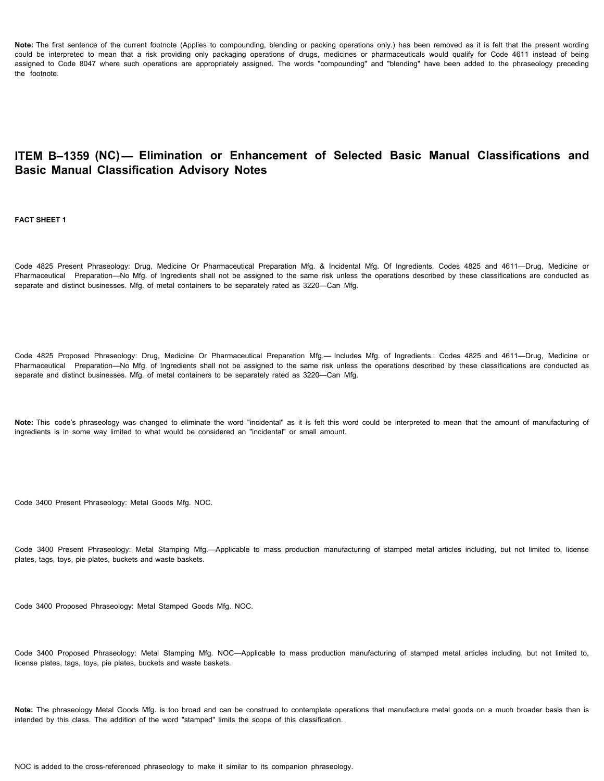Note: The first sentence of the current footnote (Applies to compounding, blending or packing operations only.) has been removed as it is felt that the present wording could be interpreted to mean that a risk providing only packaging operations of drugs, medicines or pharmaceuticals would qualify for Code 4611 instead of being assigned to Code 8047 where such operations are appropriately assigned. The words "compounding" and "blending" have been added to the phraseology preceding the footnote.

## **ITEM B–1359 (NC)— Elimination or Enhancement of Selected Basic Manual Classifications and Basic Manual Classification Advisory Notes**

**FACT SHEET 1**

Code 4825 Present Phraseology: Drug, Medicine Or Pharmaceutical Preparation Mfg. & Incidental Mfg. Of Ingredients. Codes 4825 and 4611—Drug, Medicine or Pharmaceutical Preparation—No Mfg. of Ingredients shall not be assigned to the same risk unless the operations described by these classifications are conducted as separate and distinct businesses. Mfg. of metal containers to be separately rated as 3220—Can Mfg.

Code 4825 Proposed Phraseology: Drug, Medicine Or Pharmaceutical Preparation Mfg.— Includes Mfg. of Ingredients.: Codes 4825 and 4611—Drug, Medicine or Pharmaceutical Preparation—No Mfg. of Ingredients shall not be assigned to the same risk unless the operations described by these classifications are conducted as separate and distinct businesses. Mfg. of metal containers to be separately rated as 3220—Can Mfg.

**Note:** This code's phraseology was changed to eliminate the word "incidental" as it is felt this word could be interpreted to mean that the amount of manufacturing of ingredients is in some way limited to what would be considered an "incidental" or small amount.

Code 3400 Present Phraseology: Metal Goods Mfg. NOC.

Code 3400 Present Phraseology: Metal Stamping Mfg.—Applicable to mass production manufacturing of stamped metal articles including, but not limited to, license plates, tags, toys, pie plates, buckets and waste baskets.

Code 3400 Proposed Phraseology: Metal Stamped Goods Mfg. NOC.

Code 3400 Proposed Phraseology: Metal Stamping Mfg. NOC—Applicable to mass production manufacturing of stamped metal articles including, but not limited to, license plates, tags, toys, pie plates, buckets and waste baskets.

**Note:** The phraseology Metal Goods Mfg. is too broad and can be construed to contemplate operations that manufacture metal goods on a much broader basis than is intended by this class. The addition of the word "stamped" limits the scope of this classification.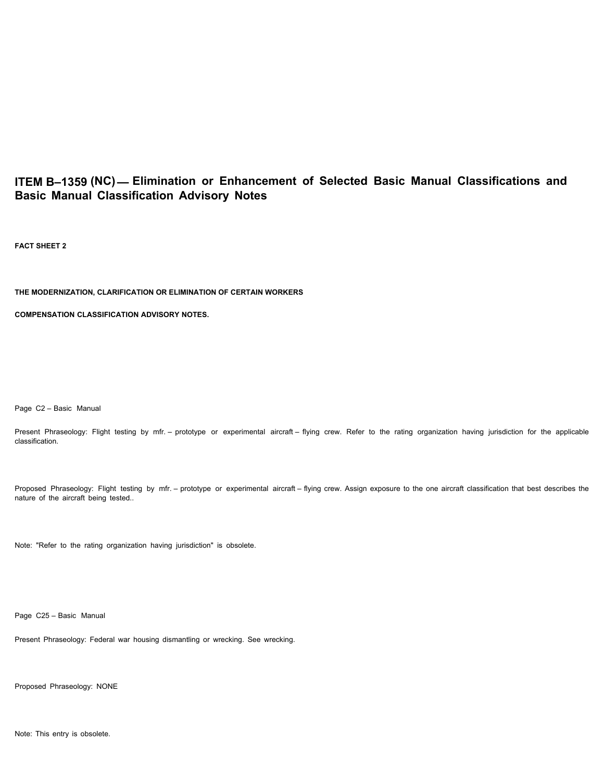# **ITEM B–1359 (NC)— Elimination or Enhancement of Selected Basic Manual Classifications and Basic Manual Classification Advisory Notes**

**FACT SHEET 2**

#### **THE MODERNIZATION, CLARIFICATION OR ELIMINATION OF CERTAIN WORKERS**

**COMPENSATION CLASSIFICATION ADVISORY NOTES.**

Page C2 – Basic Manual

Present Phraseology: Flight testing by mfr. - prototype or experimental aircraft - flying crew. Refer to the rating organization having jurisdiction for the applicable classification.

Proposed Phraseology: Flight testing by mfr. – prototype or experimental aircraft – flying crew. Assign exposure to the one aircraft classification that best describes the nature of the aircraft being tested..

Note: "Refer to the rating organization having jurisdiction" is obsolete.

Page C25 – Basic Manual

Present Phraseology: Federal war housing dismantling or wrecking. See wrecking.

Proposed Phraseology: NONE

Note: This entry is obsolete.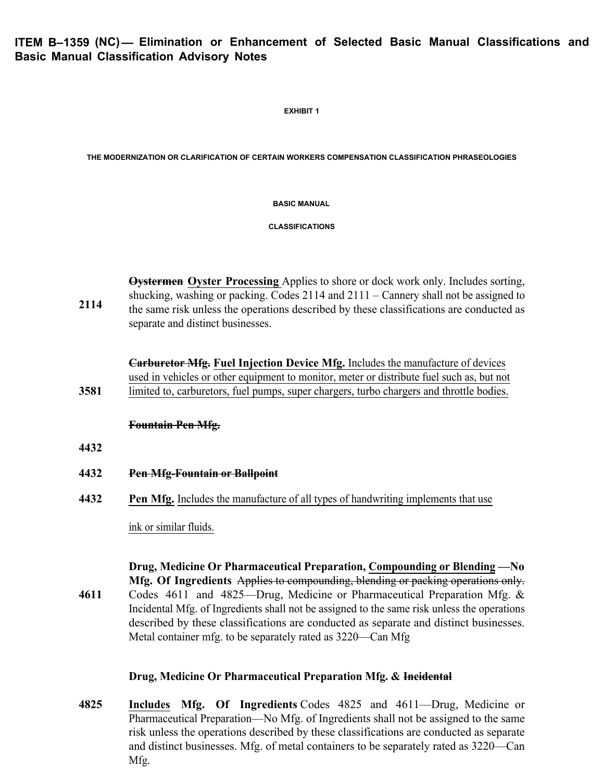**EXHIBIT 1**

**THE MODERNIZATION OR CLARIFICATION OF CERTAIN WORKERS COMPENSATION CLASSIFICATION PHRASEOLOGIES**

**BASIC MANUAL**

**CLASSIFICATIONS**

**2114 Oystermen Oyster Processing** Applies to shore or dock work only. Includes sorting, shucking, washing or packing. Codes 2114 and 2111 – Cannery shall not be assigned to the same risk unless the operations described by these classifications are conducted as separate and distinct businesses.

**3581 Carburetor Mfg. Fuel Injection Device Mfg.** Includes the manufacture of devices used in vehicles or other equipment to monitor, meter or distribute fuel such as, but not limited to, carburetors, fuel pumps, super chargers, turbo chargers and throttle bodies.

### **Fountain Pen Mfg.**

- **4432**
- **4432 Pen Mfg-Fountain or Ballpoint**
- **4432 Pen Mfg.** Includes the manufacture of all types of handwriting implements that use

ink or similar fluids.

**4611 Drug, Medicine Or Pharmaceutical Preparation, Compounding or Blending —No Mfg. Of Ingredients** Applies to compounding, blending or packing operations only. Codes 4611 and 4825—Drug, Medicine or Pharmaceutical Preparation Mfg. & Incidental Mfg. of Ingredients shall not be assigned to the same risk unless the operations described by these classifications are conducted as separate and distinct businesses. Metal container mfg. to be separately rated as 3220—Can Mfg

## **Drug, Medicine Or Pharmaceutical Preparation Mfg. & Incidental**

**4825 Includes Mfg. Of Ingredients** Codes 4825 and 4611—Drug, Medicine or Pharmaceutical Preparation—No Mfg. of Ingredients shall not be assigned to the same risk unless the operations described by these classifications are conducted as separate and distinct businesses. Mfg. of metal containers to be separately rated as 3220—Can Mfg.